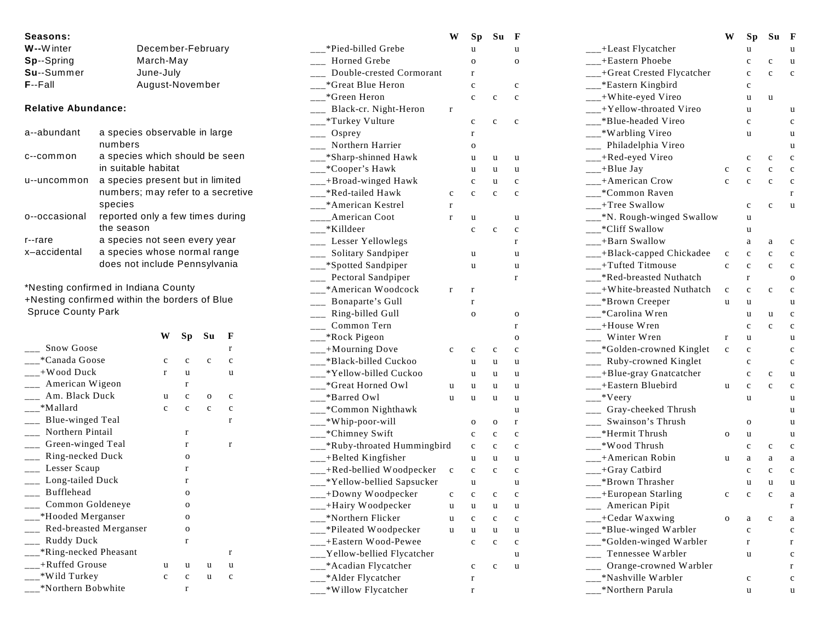| Seasons:                   |                                               |                                     |
|----------------------------|-----------------------------------------------|-------------------------------------|
| W--Winter                  | December-February                             | *Pied-billed Grebe                  |
| Sp--Spring                 | March-May                                     | <b>Horned Grebe</b>                 |
| Su--Summer                 | June-July                                     | Double-crested Cormorant            |
| $F - F$ all                | August-November                               | $\frac{1}{2}$ Great Blue Heron      |
|                            |                                               | $\frac{1}{2}$ + Green Heron         |
| <b>Relative Abundance:</b> |                                               | $\frac{1}{2}$ Black-cr. Night-Heron |
|                            |                                               | ___*Turkey Vulture                  |
| a--abundant                | a species observable in large                 | $\frac{1}{2}$ Osprey                |
|                            | numbers                                       | ___ Northern Harrier                |
| c--common                  | a species which should be seen                | ___*Sharp-shinned Hawk              |
|                            | in suitable habitat                           | $\frac{1}{2}$ Cooper's Hawk         |
| u--uncommon                | a species present but in limited              | $\_\_\_\$ + Broad-winged Hawk       |
|                            | numbers; may refer to a secretive             | *Red-tailed Hawk                    |
|                            | species                                       | *American Kestrel                   |
| o--occasional              | reported only a few times during              | <b>American Coot</b>                |
|                            | the season                                    | $\_\_\_*$ Killdeer                  |
| r--rare                    | a species not seen every year                 | __ Lesser Yellowlegs                |
| x-accidental               | a species whose normal range                  | $\frac{1}{2}$ Solitary Sandpiper    |
|                            | does not include Pennsylvania                 | $\frac{1}{2}$ Spotted Sandpiper     |
|                            |                                               | ___ Pectoral Sandpiper              |
|                            | *Nesting confirmed in Indiana County          | *American Woodcock                  |
|                            | +Nesting confirmed within the borders of Blue | $\frac{1}{2}$ Bonaparte's Gull      |
| <b>Spruce County Park</b>  |                                               | $\_\_\_\$ Ring-billed Gull          |
|                            |                                               | Common Tern                         |
|                            | $W$ Sn S <sub>u</sub> F                       | $*D$ calc $D$ according             |

|                                     | YV          | σμ           | ιoμ          | г            |  |
|-------------------------------------|-------------|--------------|--------------|--------------|--|
| Snow Goose                          |             |              |              | r            |  |
| *Canada Goose                       | $\mathbf c$ | $\mathbf{C}$ | c            | $\mathbf c$  |  |
| +Wood Duck                          | r           | u            |              | u            |  |
| American Wigeon                     |             | r            |              |              |  |
| Am. Black Duck                      | u           | $\mathbf{C}$ | $\Omega$     | c            |  |
| *Mallard                            | c           | $\mathbf{c}$ | $\mathbf{C}$ | c            |  |
| Blue-winged Teal                    |             |              |              | r            |  |
| Northern Pintail                    |             | r            |              |              |  |
| <sub>___</sub> Green-winged Teal    |             | r            |              | $\mathbf{r}$ |  |
| <sub>___</sub> Ring-necked Duck     |             | $\Omega$     |              |              |  |
| Lesser Scaup                        |             | r            |              |              |  |
| Long-tailed Duck                    |             | $\mathbf{r}$ |              |              |  |
| Bufflehead                          |             | 0            |              |              |  |
| Common Goldeneye                    |             | $\mathbf{O}$ |              |              |  |
| ___*Hooded Merganser                |             | $\mathbf{O}$ |              |              |  |
| Red-breasted Merganser              |             | $\mathbf{O}$ |              |              |  |
| Ruddy Duck<br>$\overline{a}$        |             | $\mathbf r$  |              |              |  |
| $\frac{1}{2}$ *Ring-necked Pheasant |             |              |              | r            |  |
| - Ruffed Grouse                     | u           | u            | u            | u            |  |
| ___*Wild Turkey                     | c           | c            | u            | c            |  |
| *Northern Bobwhite                  |             | r            |              |              |  |

|                                         | W | Sp | Su          | F           |
|-----------------------------------------|---|----|-------------|-------------|
| *Pied-billed Grebe                      |   | u  |             | u           |
| Horned Grebe                            |   | O  |             | 0           |
| Double-crested Cormorant                |   | r  |             |             |
| *Great Blue Heron                       |   | C  |             | c           |
| __*Green Heron                          |   | C  | $\mathbf c$ | $\mathbf c$ |
| Black-cr. Night-Heron<br>$\overline{a}$ | r |    |             |             |
| __*Turkey Vulture                       |   | c  | $\mathbf c$ | $\mathbf c$ |
| Osprey<br>$-$                           |   | r  |             |             |
| Northern Harrier                        |   | о  |             |             |
| *Sharp-shinned Hawk                     |   | u  | u           | u           |
| __*Cooper's Hawk                        |   | u  | u           | u           |
| __+Broad-winged Hawk                    |   | C  | u           | $\mathbf c$ |
| *Red-tailed Hawk                        | C | C  | C           | $\mathbf c$ |
| *American Kestrel                       | r |    |             |             |
| American Coot                           | r | u  |             | u           |
| *Killdeer                               |   | C  | C           | c           |
| Lesser Yellowlegs<br>$-$                |   |    |             | r           |
| Solitary Sandpiper                      |   | u  |             | u           |
| ___*Spotted Sandpiper                   |   | u  |             | u           |
| Pectoral Sandpiper                      |   |    |             | r           |
| *American Woodcock                      | r | r  |             |             |
| Bonaparte's Gull<br>$\mathcal{L}$       |   | r  |             |             |
| Ring-billed Gull<br>$\sim$              |   | o  |             | o           |
| Common Tern                             |   |    |             | r           |
| __*Rock Pigeon                          |   |    |             | O           |
| __+Mourning Dove                        | C | c  | $\mathbf c$ | c           |
| -*Black-billed Cuckoo                   |   | u  | u           | u           |
| *Yellow-billed Cuckoo                   |   | u  | u           | u           |
| *Great Horned Owl                       | u | u  | u           | u           |
| *Barred Owl                             | u | u  | u           | u           |
| __*Common Nighthawk                     |   |    |             | u           |
| __*Whip-poor-will                       |   | o  | o           | r           |
| __*Chimney Swift                        |   | C  | C           | $\mathbf c$ |
| __*Ruby-throated Hummingbird            |   | c  | C           | $\mathbf c$ |
| ___+Belted Kingfisher                   |   | u  | u           | u           |
| ___+Red-bellied Woodpecker              | C | C  | $\mathbf c$ | $\mathbf c$ |
| __*Yellow-bellied Sapsucker             |   | u  |             | u           |
| __+Downy Woodpecker                     | c | c  | c           | c           |
| +Hairy Woodpecker                       | u | u  | u           | u           |
| *Northern Flicker                       | u | c  | c           | $\mathbf c$ |
| *Pileated Woodpecker                    | u | u  | u           | u           |
| -+Eastern Wood-Pewee                    |   | C  | $\mathbf c$ | c           |
| Yellow-bellied Flycatcher               |   |    |             | u           |
| *Acadian Flycatcher                     |   | c  | $\mathbf c$ | u           |
| *Alder Flycatcher                       |   | r  |             |             |
| *Willow Flycatcher                      |   | r  |             |             |

|                                                  | W           | Sp          | Su            | F |
|--------------------------------------------------|-------------|-------------|---------------|---|
| +Least Flycatcher                                |             | u           |               | u |
| ___+Eastern Phoebe                               |             | c           | c             | u |
| ___+Great Crested Flycatcher                     |             | c           | c             | C |
| __*Eastern Kingbird                              |             | c           |               |   |
| ___+White-eyed Vireo                             |             | u           | u             |   |
| ___+Yellow-throated Vireo                        |             | u           |               | u |
| Blue-headed Vireo                                |             | c           |               | C |
| __*Warbling Vireo                                |             | u           |               | u |
| ___ Philadelphia Vireo                           |             |             |               | u |
| ___+Red-eyed Vireo                               |             | c           | c             | C |
| $_{---}$ +Blue Jay                               | C           | C           | c             | C |
| $_{---}$ +American Crow                          | C           | C           | C             | c |
| ___*Common Raven                                 |             |             |               | r |
| ___+Tree Swallow                                 |             | c           | C             | u |
| __*N. Rough-winged Swallow                       |             | u           |               |   |
| ___*Cliff Swallow                                |             | u           |               |   |
| $\frac{1}{2}$ +Barn Swallow                      |             | a           | a             | c |
| ___+Black-capped Chickadee                       | $\mathbf c$ | C           | c             | c |
| +Tufted Titmouse                                 | C           | C           | C             | C |
| *Red-breasted Nuthatch                           |             | r           |               | o |
| +White-breasted Nuthatch                         | C           | c           | C             | C |
| _*Brown Creeper                                  | u           | u           |               | u |
| __*Carolina Wren                                 |             | u           | u             | C |
| __+House Wren                                    |             | $\mathbf c$ | c             | C |
| Winter Wren                                      | r           | u           |               | u |
| ___*Golden-crowned Kinglet                       | C           | C           |               | c |
| Ruby-crowned Kinglet<br>$\overline{\phantom{0}}$ |             | $\mathbf c$ |               | C |
| ___+Blue-gray Gnatcatcher                        |             | c           | c             | u |
| ___+Eastern Bluebird                             | u           | C           | c             | C |
| $-$ *Veery                                       |             | u           |               | u |
| ___ Gray-cheeked Thrush                          |             |             |               | u |
| Swainson's Thrush                                |             | o           |               | u |
| *Hermit Thrush                                   | o           | u           |               | u |
| *Wood Thrush                                     |             | C           | C             | C |
| ___+American Robin                               | u           | a           | a             | a |
| +Gray Catbird                                    |             | c           | c             | C |
| *Brown Thrasher                                  |             | u           | u             | u |
| __+European Starling                             | c           | $\mathbf c$ | $\mathcal{C}$ | a |
| __ American Pipit                                |             |             |               | r |
| __+Cedar Waxwing                                 | о           | а           | $\mathbf c$   | a |
| *Blue-winged Warbler                             |             | c           |               | c |
| *Golden-winged Warbler                           |             | r           |               | r |
| Tennessee Warbler                                |             | u           |               | C |
| Orange-crowned Warbler                           |             |             |               | r |
| *Nashville Warbler                               |             | c           |               | c |
| *Northern Parula                                 |             | u           |               | u |